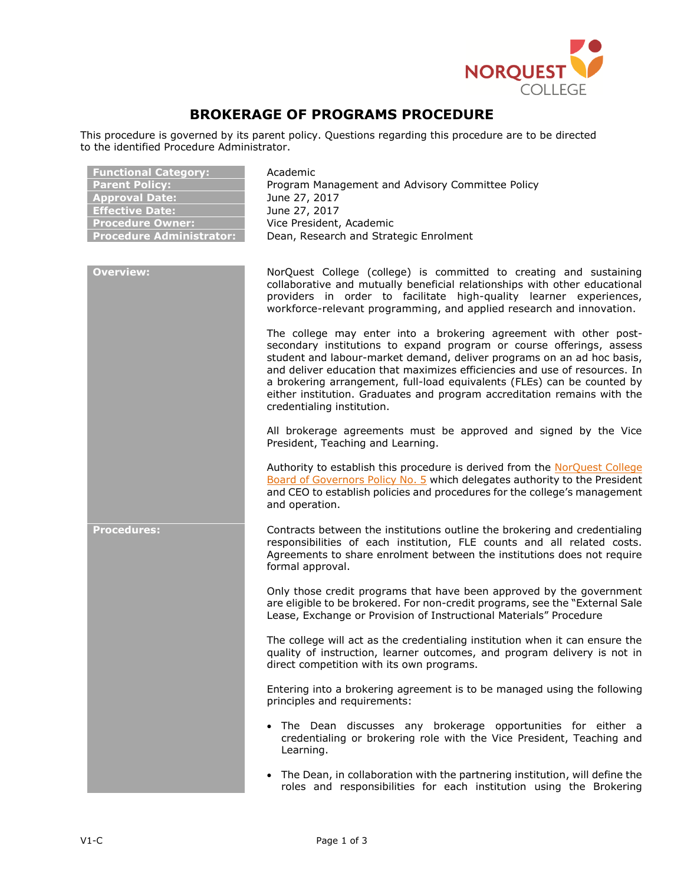

## **BROKERAGE OF PROGRAMS PROCEDURE**

This procedure is governed by its parent policy. Questions regarding this procedure are to be directed to the identified Procedure Administrator.

| <b>Functional Category:</b><br><b>Parent Policy:</b><br><b>Approval Date:</b><br><b>Effective Date:</b><br><b>Procedure Owner:</b><br><b>Procedure Administrator:</b> | Academic<br>Program Management and Advisory Committee Policy<br>June 27, 2017<br>June 27, 2017<br>Vice President, Academic<br>Dean, Research and Strategic Enrolment                                                                                                                                                                                                                                                                                                                   |
|-----------------------------------------------------------------------------------------------------------------------------------------------------------------------|----------------------------------------------------------------------------------------------------------------------------------------------------------------------------------------------------------------------------------------------------------------------------------------------------------------------------------------------------------------------------------------------------------------------------------------------------------------------------------------|
| <b>Overview:</b>                                                                                                                                                      | NorQuest College (college) is committed to creating and sustaining<br>collaborative and mutually beneficial relationships with other educational<br>providers in order to facilitate high-quality learner experiences,<br>workforce-relevant programming, and applied research and innovation.                                                                                                                                                                                         |
|                                                                                                                                                                       | The college may enter into a brokering agreement with other post-<br>secondary institutions to expand program or course offerings, assess<br>student and labour-market demand, deliver programs on an ad hoc basis,<br>and deliver education that maximizes efficiencies and use of resources. In<br>a brokering arrangement, full-load equivalents (FLEs) can be counted by<br>either institution. Graduates and program accreditation remains with the<br>credentialing institution. |
|                                                                                                                                                                       | All brokerage agreements must be approved and signed by the Vice<br>President, Teaching and Learning.                                                                                                                                                                                                                                                                                                                                                                                  |
|                                                                                                                                                                       | Authority to establish this procedure is derived from the NorQuest College<br>Board of Governors Policy No. 5 which delegates authority to the President<br>and CEO to establish policies and procedures for the college's management<br>and operation.                                                                                                                                                                                                                                |
| <b>Procedures:</b>                                                                                                                                                    | Contracts between the institutions outline the brokering and credentialing<br>responsibilities of each institution, FLE counts and all related costs.<br>Agreements to share enrolment between the institutions does not require<br>formal approval.                                                                                                                                                                                                                                   |
|                                                                                                                                                                       | Only those credit programs that have been approved by the government<br>are eligible to be brokered. For non-credit programs, see the "External Sale<br>Lease, Exchange or Provision of Instructional Materials" Procedure                                                                                                                                                                                                                                                             |
|                                                                                                                                                                       | The college will act as the credentialing institution when it can ensure the<br>quality of instruction, learner outcomes, and program delivery is not in<br>direct competition with its own programs.                                                                                                                                                                                                                                                                                  |
|                                                                                                                                                                       | Entering into a brokering agreement is to be managed using the following<br>principles and requirements:                                                                                                                                                                                                                                                                                                                                                                               |
|                                                                                                                                                                       | . The Dean discusses any brokerage opportunities for either a<br>credentialing or brokering role with the Vice President, Teaching and<br>Learning.                                                                                                                                                                                                                                                                                                                                    |
|                                                                                                                                                                       | The Dean, in collaboration with the partnering institution, will define the<br>$\bullet$<br>roles and responsibilities for each institution using the Brokering                                                                                                                                                                                                                                                                                                                        |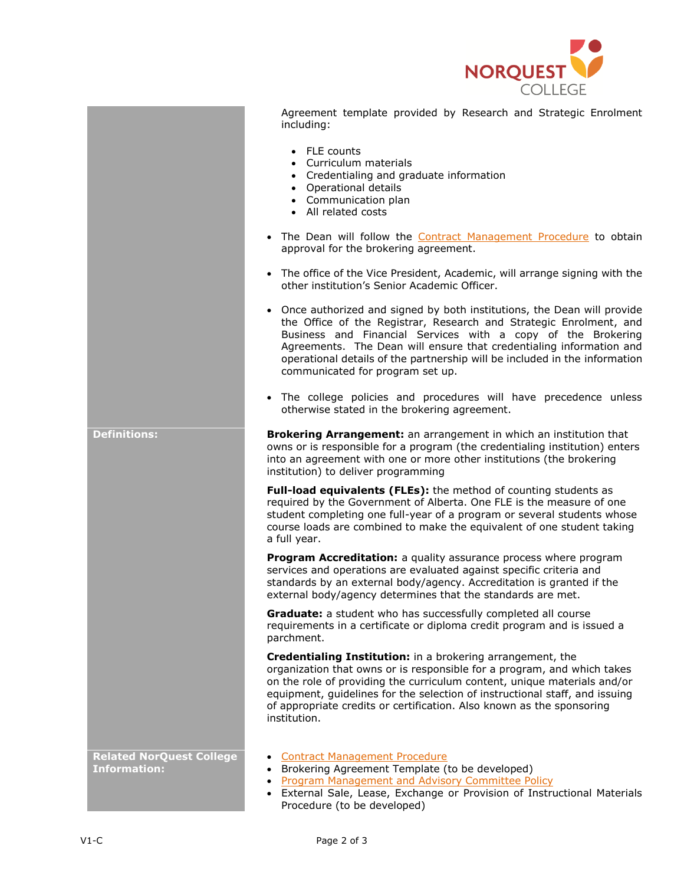

| Agreement template provided by Research and Strategic Enrolment |  |  |  |  |
|-----------------------------------------------------------------|--|--|--|--|
| including:                                                      |  |  |  |  |

- FLE counts
- Curriculum materials
- Credentialing and graduate information
- Operational details
- Communication plan
- All related costs
- The Dean will follow the [Contract Management Procedure](https://www.norquest.ca/about-us/policies-procedures/finance/procurement-policy/contract-management-procedure.aspx) to obtain approval for the brokering agreement.
- The office of the Vice President, Academic, will arrange signing with the other institution's Senior Academic Officer.
- Once authorized and signed by both institutions, the Dean will provide the Office of the Registrar, Research and Strategic Enrolment, and Business and Financial Services with a copy of the Brokering Agreements. The Dean will ensure that credentialing information and operational details of the partnership will be included in the information communicated for program set up.
- The college policies and procedures will have precedence unless otherwise stated in the brokering agreement.

| <b>Brokering Arrangement:</b> an arrangement in which an institution that   |
|-----------------------------------------------------------------------------|
| owns or is responsible for a program (the credentialing institution) enters |
| into an agreement with one or more other institutions (the brokering        |
| institution) to deliver programming                                         |

**Full-load equivalents (FLEs):** the method of counting students as required by the Government of Alberta. One FLE is the measure of one student completing one full-year of a program or several students whose course loads are combined to make the equivalent of one student taking a full year.

**Program Accreditation:** a quality assurance process where program services and operations are evaluated against specific criteria and standards by an external body/agency. Accreditation is granted if the external body/agency determines that the standards are met.

**Graduate:** a student who has successfully completed all course requirements in a certificate or diploma credit program and is issued a parchment.

**Credentialing Institution:** in a brokering arrangement, the organization that owns or is responsible for a program, and which takes on the role of providing the curriculum content, unique materials and/or equipment, guidelines for the selection of instructional staff, and issuing of appropriate credits or certification. Also known as the sponsoring institution.

**Related NorQuest College Information:**

**Definitions:** 

- [Contract Management Procedure](https://www.norquest.ca/about-us/policies-procedures/finance/procurement-policy/contract-management-procedure.aspx)
- Brokering Agreement Template (to be developed)
- [Program Management and Advisory Committee Policy](https://www.norquest.ca/about-us/policies-procedures/academic/program-management-and-advisory-committee-policy.aspx)
- External Sale, Lease, Exchange or Provision of Instructional Materials Procedure (to be developed)